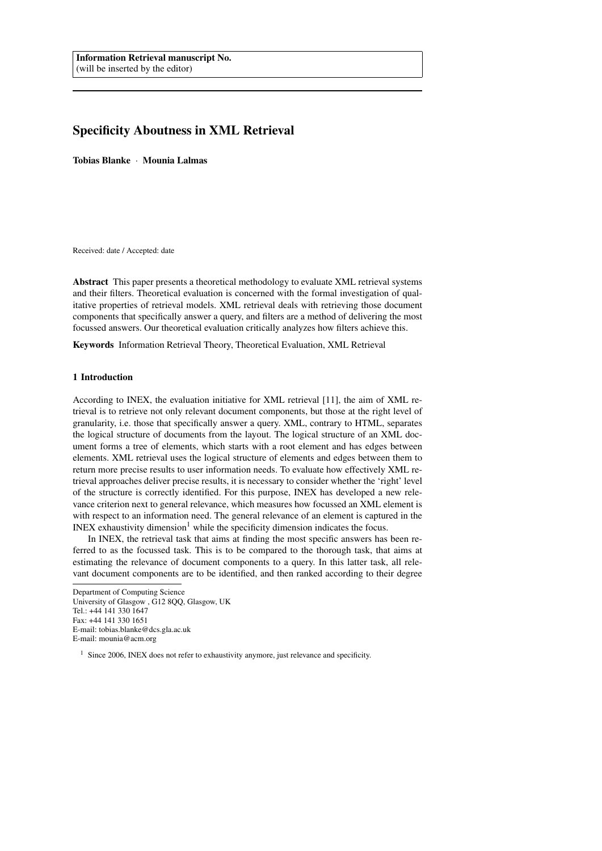# Specificity Aboutness in XML Retrieval

Tobias Blanke · Mounia Lalmas

Received: date / Accepted: date

Abstract This paper presents a theoretical methodology to evaluate XML retrieval systems and their filters. Theoretical evaluation is concerned with the formal investigation of qualitative properties of retrieval models. XML retrieval deals with retrieving those document components that specifically answer a query, and filters are a method of delivering the most focussed answers. Our theoretical evaluation critically analyzes how filters achieve this.

Keywords Information Retrieval Theory, Theoretical Evaluation, XML Retrieval

# 1 Introduction

According to INEX, the evaluation initiative for XML retrieval [11], the aim of XML retrieval is to retrieve not only relevant document components, but those at the right level of granularity, i.e. those that specifically answer a query. XML, contrary to HTML, separates the logical structure of documents from the layout. The logical structure of an XML document forms a tree of elements, which starts with a root element and has edges between elements. XML retrieval uses the logical structure of elements and edges between them to return more precise results to user information needs. To evaluate how effectively XML retrieval approaches deliver precise results, it is necessary to consider whether the 'right' level of the structure is correctly identified. For this purpose, INEX has developed a new relevance criterion next to general relevance, which measures how focussed an XML element is with respect to an information need. The general relevance of an element is captured in the INEX exhaustivity dimension<sup>1</sup> while the specificity dimension indicates the focus.

In INEX, the retrieval task that aims at finding the most specific answers has been referred to as the focussed task. This is to be compared to the thorough task, that aims at estimating the relevance of document components to a query. In this latter task, all relevant document components are to be identified, and then ranked according to their degree

Department of Computing Science University of Glasgow , G12 8QQ, Glasgow, UK Tel.: +44 141 330 1647 Fax: +44 141 330 1651 E-mail: tobias.blanke@dcs.gla.ac.uk E-mail: mounia@acm.org

<sup>&</sup>lt;sup>1</sup> Since 2006, INEX does not refer to exhaustivity anymore, just relevance and specificity.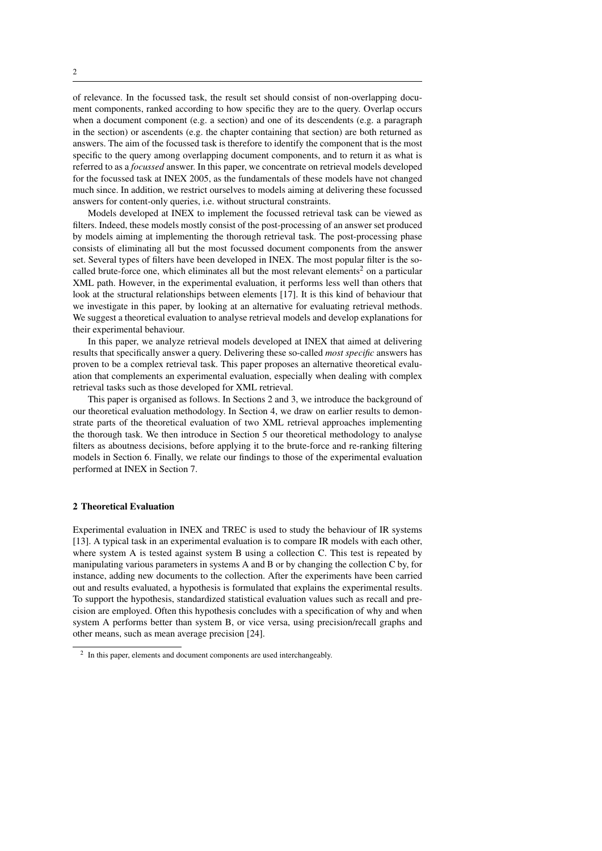of relevance. In the focussed task, the result set should consist of non-overlapping document components, ranked according to how specific they are to the query. Overlap occurs when a document component (e.g. a section) and one of its descendents (e.g. a paragraph in the section) or ascendents (e.g. the chapter containing that section) are both returned as answers. The aim of the focussed task is therefore to identify the component that is the most specific to the query among overlapping document components, and to return it as what is referred to as a *focussed* answer. In this paper, we concentrate on retrieval models developed for the focussed task at INEX 2005, as the fundamentals of these models have not changed much since. In addition, we restrict ourselves to models aiming at delivering these focussed answers for content-only queries, i.e. without structural constraints.

Models developed at INEX to implement the focussed retrieval task can be viewed as filters. Indeed, these models mostly consist of the post-processing of an answer set produced by models aiming at implementing the thorough retrieval task. The post-processing phase consists of eliminating all but the most focussed document components from the answer set. Several types of filters have been developed in INEX. The most popular filter is the socalled brute-force one, which eliminates all but the most relevant elements<sup>2</sup> on a particular XML path. However, in the experimental evaluation, it performs less well than others that look at the structural relationships between elements [17]. It is this kind of behaviour that we investigate in this paper, by looking at an alternative for evaluating retrieval methods. We suggest a theoretical evaluation to analyse retrieval models and develop explanations for their experimental behaviour.

In this paper, we analyze retrieval models developed at INEX that aimed at delivering results that specifically answer a query. Delivering these so-called *most specific* answers has proven to be a complex retrieval task. This paper proposes an alternative theoretical evaluation that complements an experimental evaluation, especially when dealing with complex retrieval tasks such as those developed for XML retrieval.

This paper is organised as follows. In Sections 2 and 3, we introduce the background of our theoretical evaluation methodology. In Section 4, we draw on earlier results to demonstrate parts of the theoretical evaluation of two XML retrieval approaches implementing the thorough task. We then introduce in Section 5 our theoretical methodology to analyse filters as aboutness decisions, before applying it to the brute-force and re-ranking filtering models in Section 6. Finally, we relate our findings to those of the experimental evaluation performed at INEX in Section 7.

# 2 Theoretical Evaluation

Experimental evaluation in INEX and TREC is used to study the behaviour of IR systems [13]. A typical task in an experimental evaluation is to compare IR models with each other, where system A is tested against system B using a collection C. This test is repeated by manipulating various parameters in systems A and B or by changing the collection C by, for instance, adding new documents to the collection. After the experiments have been carried out and results evaluated, a hypothesis is formulated that explains the experimental results. To support the hypothesis, standardized statistical evaluation values such as recall and precision are employed. Often this hypothesis concludes with a specification of why and when system A performs better than system B, or vice versa, using precision/recall graphs and other means, such as mean average precision [24].

<sup>&</sup>lt;sup>2</sup> In this paper, elements and document components are used interchangeably.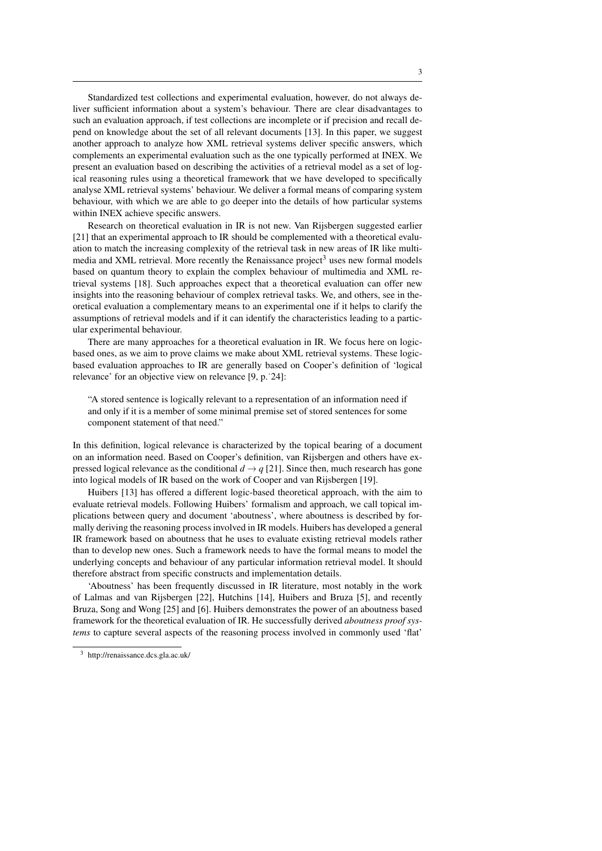Standardized test collections and experimental evaluation, however, do not always deliver sufficient information about a system's behaviour. There are clear disadvantages to such an evaluation approach, if test collections are incomplete or if precision and recall depend on knowledge about the set of all relevant documents [13]. In this paper, we suggest another approach to analyze how XML retrieval systems deliver specific answers, which complements an experimental evaluation such as the one typically performed at INEX. We present an evaluation based on describing the activities of a retrieval model as a set of logical reasoning rules using a theoretical framework that we have developed to specifically analyse XML retrieval systems' behaviour. We deliver a formal means of comparing system behaviour, with which we are able to go deeper into the details of how particular systems within INEX achieve specific answers.

Research on theoretical evaluation in IR is not new. Van Rijsbergen suggested earlier [21] that an experimental approach to IR should be complemented with a theoretical evaluation to match the increasing complexity of the retrieval task in new areas of IR like multimedia and XML retrieval. More recently the Renaissance project<sup>3</sup> uses new formal models based on quantum theory to explain the complex behaviour of multimedia and XML retrieval systems [18]. Such approaches expect that a theoretical evaluation can offer new insights into the reasoning behaviour of complex retrieval tasks. We, and others, see in theoretical evaluation a complementary means to an experimental one if it helps to clarify the assumptions of retrieval models and if it can identify the characteristics leading to a particular experimental behaviour.

There are many approaches for a theoretical evaluation in IR. We focus here on logicbased ones, as we aim to prove claims we make about XML retrieval systems. These logicbased evaluation approaches to IR are generally based on Cooper's definition of 'logical relevance' for an objective view on relevance [9, p.˙24]:

"A stored sentence is logically relevant to a representation of an information need if and only if it is a member of some minimal premise set of stored sentences for some component statement of that need."

In this definition, logical relevance is characterized by the topical bearing of a document on an information need. Based on Cooper's definition, van Rijsbergen and others have expressed logical relevance as the conditional  $d \rightarrow q$  [21]. Since then, much research has gone into logical models of IR based on the work of Cooper and van Rijsbergen [19].

Huibers [13] has offered a different logic-based theoretical approach, with the aim to evaluate retrieval models. Following Huibers' formalism and approach, we call topical implications between query and document 'aboutness', where aboutness is described by formally deriving the reasoning process involved in IR models. Huibers has developed a general IR framework based on aboutness that he uses to evaluate existing retrieval models rather than to develop new ones. Such a framework needs to have the formal means to model the underlying concepts and behaviour of any particular information retrieval model. It should therefore abstract from specific constructs and implementation details.

'Aboutness' has been frequently discussed in IR literature, most notably in the work of Lalmas and van Rijsbergen [22], Hutchins [14], Huibers and Bruza [5], and recently Bruza, Song and Wong [25] and [6]. Huibers demonstrates the power of an aboutness based framework for the theoretical evaluation of IR. He successfully derived *aboutness proof systems* to capture several aspects of the reasoning process involved in commonly used 'flat'

<sup>3</sup> http://renaissance.dcs.gla.ac.uk/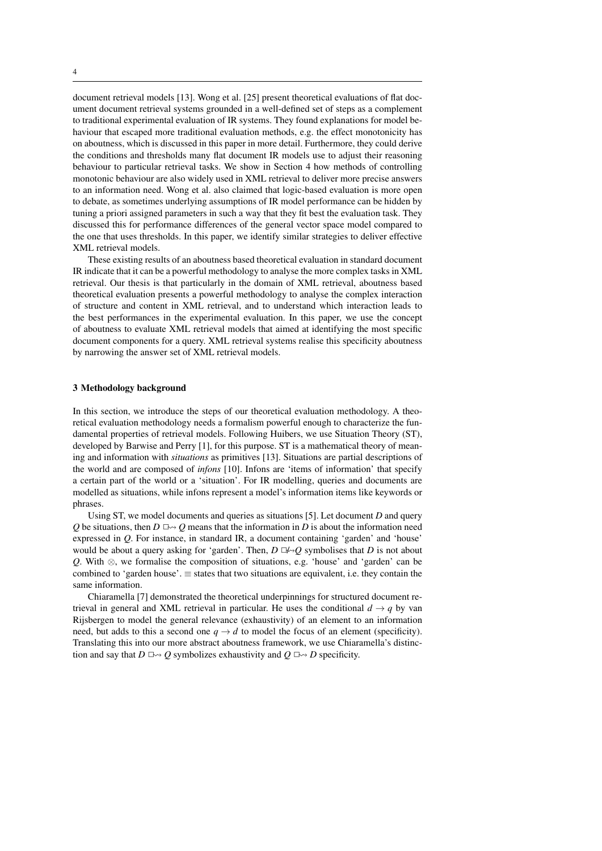document retrieval models [13]. Wong et al. [25] present theoretical evaluations of flat document document retrieval systems grounded in a well-defined set of steps as a complement to traditional experimental evaluation of IR systems. They found explanations for model behaviour that escaped more traditional evaluation methods, e.g. the effect monotonicity has on aboutness, which is discussed in this paper in more detail. Furthermore, they could derive the conditions and thresholds many flat document IR models use to adjust their reasoning behaviour to particular retrieval tasks. We show in Section 4 how methods of controlling monotonic behaviour are also widely used in XML retrieval to deliver more precise answers to an information need. Wong et al. also claimed that logic-based evaluation is more open to debate, as sometimes underlying assumptions of IR model performance can be hidden by tuning a priori assigned parameters in such a way that they fit best the evaluation task. They discussed this for performance differences of the general vector space model compared to the one that uses thresholds. In this paper, we identify similar strategies to deliver effective XML retrieval models.

These existing results of an aboutness based theoretical evaluation in standard document IR indicate that it can be a powerful methodology to analyse the more complex tasks in XML retrieval. Our thesis is that particularly in the domain of XML retrieval, aboutness based theoretical evaluation presents a powerful methodology to analyse the complex interaction of structure and content in XML retrieval, and to understand which interaction leads to the best performances in the experimental evaluation. In this paper, we use the concept of aboutness to evaluate XML retrieval models that aimed at identifying the most specific document components for a query. XML retrieval systems realise this specificity aboutness by narrowing the answer set of XML retrieval models.

### 3 Methodology background

In this section, we introduce the steps of our theoretical evaluation methodology. A theoretical evaluation methodology needs a formalism powerful enough to characterize the fundamental properties of retrieval models. Following Huibers, we use Situation Theory (ST), developed by Barwise and Perry [1], for this purpose. ST is a mathematical theory of meaning and information with *situations* as primitives [13]. Situations are partial descriptions of the world and are composed of *infons* [10]. Infons are 'items of information' that specify a certain part of the world or a 'situation'. For IR modelling, queries and documents are modelled as situations, while infons represent a model's information items like keywords or phrases.

Using ST, we model documents and queries as situations [5]. Let document *D* and query *Q* be situations, then *D*  $\Box \rightarrow Q$  means that the information in *D* is about the information need expressed in *Q*. For instance, in standard IR, a document containing 'garden' and 'house' would be about a query asking for 'garden'. Then,  $D \Box \rightarrow Q$  symbolises that *D* is not about *Q*. With ⊗, we formalise the composition of situations, e.g. 'house' and 'garden' can be combined to 'garden house'.  $\equiv$  states that two situations are equivalent, i.e. they contain the same information.

Chiaramella [7] demonstrated the theoretical underpinnings for structured document retrieval in general and XML retrieval in particular. He uses the conditional  $d \rightarrow q$  by van Rijsbergen to model the general relevance (exhaustivity) of an element to an information need, but adds to this a second one  $q \rightarrow d$  to model the focus of an element (specificity). Translating this into our more abstract aboutness framework, we use Chiaramella's distinction and say that  $D \rightharpoonup Q$  symbolizes exhaustivity and  $Q \rightharpoonup D$  specificity.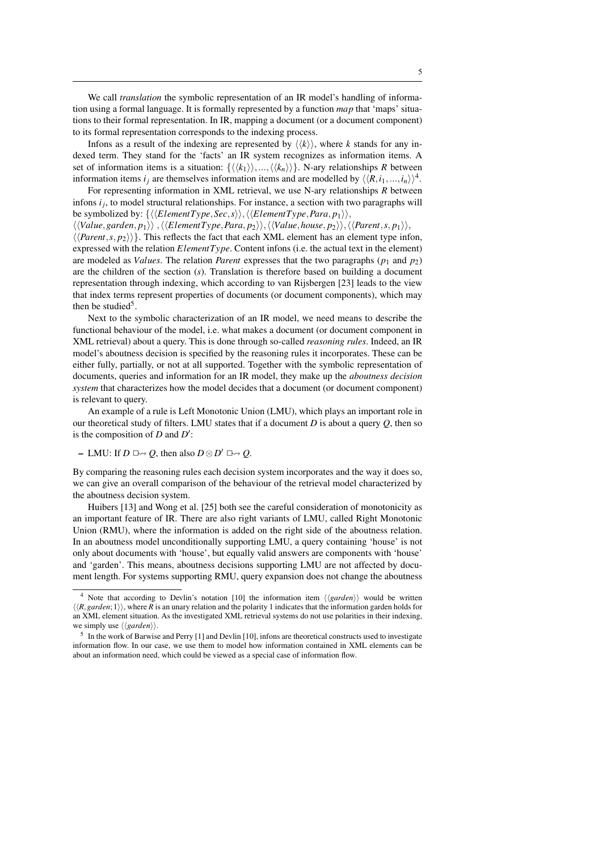We call *translation* the symbolic representation of an IR model's handling of information using a formal language. It is formally represented by a function *map* that 'maps' situations to their formal representation. In IR, mapping a document (or a document component) to its formal representation corresponds to the indexing process.

Infons as a result of the indexing are represented by  $\langle \langle k \rangle \rangle$ , where *k* stands for any indexed term. They stand for the 'facts' an IR system recognizes as information items. A set of information items is a situation:  $\{ \langle \langle k_1 \rangle \rangle, ..., \langle \langle k_n \rangle \rangle \}$ . N-ary relationships *R* between information items  $i_j$  are themselves information items and are modelled by  $\langle \langle R, i_1, ..., i_n \rangle \rangle^4$ .

For representing information in XML retrieval, we use N-ary relationships *R* between infons *i<sup>j</sup>* , to model structural relationships. For instance, a section with two paragraphs will be symbolized by:  $\{\langle\langle ElementType,Sec,s\rangle\rangle,\langle\langle ElementType,Para, p_1\rangle\rangle,\}$ 

 $\langle \langle Value, garden, p_1 \rangle \rangle$ ,  $\langle \langle ElementType, Para, p_2 \rangle \rangle$ ,  $\langle \langle Value, house, p_2 \rangle \rangle$ ,  $\langle \langle Parent, s, p_1 \rangle \rangle$ ,

 $\langle$ *Parent*,*s*, *p*<sub>2</sub> $\rangle$ }. This reflects the fact that each XML element has an element type infon, expressed with the relation *ElementType*. Content infons (i.e. the actual text in the element) are modeled as *Values*. The relation *Parent* expresses that the two paragraphs (*p*<sup>1</sup> and *p*2) are the children of the section (*s*). Translation is therefore based on building a document representation through indexing, which according to van Rijsbergen [23] leads to the view that index terms represent properties of documents (or document components), which may then be studied<sup>5</sup>.

Next to the symbolic characterization of an IR model, we need means to describe the functional behaviour of the model, i.e. what makes a document (or document component in XML retrieval) about a query. This is done through so-called *reasoning rules*. Indeed, an IR model's aboutness decision is specified by the reasoning rules it incorporates. These can be either fully, partially, or not at all supported. Together with the symbolic representation of documents, queries and information for an IR model, they make up the *aboutness decision system* that characterizes how the model decides that a document (or document component) is relevant to query.

An example of a rule is Left Monotonic Union (LMU), which plays an important role in our theoretical study of filters. LMU states that if a document  $D$  is about a query  $Q$ , then so is the composition of  $D$  and  $D'$ :

− LMU: If *D* □→ *Q*, then also *D* ⊗ *D'* □→ *Q*.

By comparing the reasoning rules each decision system incorporates and the way it does so, we can give an overall comparison of the behaviour of the retrieval model characterized by the aboutness decision system.

Huibers [13] and Wong et al. [25] both see the careful consideration of monotonicity as an important feature of IR. There are also right variants of LMU, called Right Monotonic Union (RMU), where the information is added on the right side of the aboutness relation. In an aboutness model unconditionally supporting LMU, a query containing 'house' is not only about documents with 'house', but equally valid answers are components with 'house' and 'garden'. This means, aboutness decisions supporting LMU are not affected by document length. For systems supporting RMU, query expansion does not change the aboutness

<sup>&</sup>lt;sup>4</sup> Note that according to Devlin's notation [10] the information item  $\langle \langle garden \rangle \rangle$  would be written  $\langle R$ , *garden*; 1), where *R* is an unary relation and the polarity 1 indicates that the information garden holds for an XML element situation. As the investigated XML retrieval systems do not use polarities in their indexing, we simply use  $\langle\langle garden\rangle\rangle$ .

<sup>&</sup>lt;sup>5</sup> In the work of Barwise and Perry [1] and Devlin [10], infons are theoretical constructs used to investigate information flow. In our case, we use them to model how information contained in XML elements can be about an information need, which could be viewed as a special case of information flow.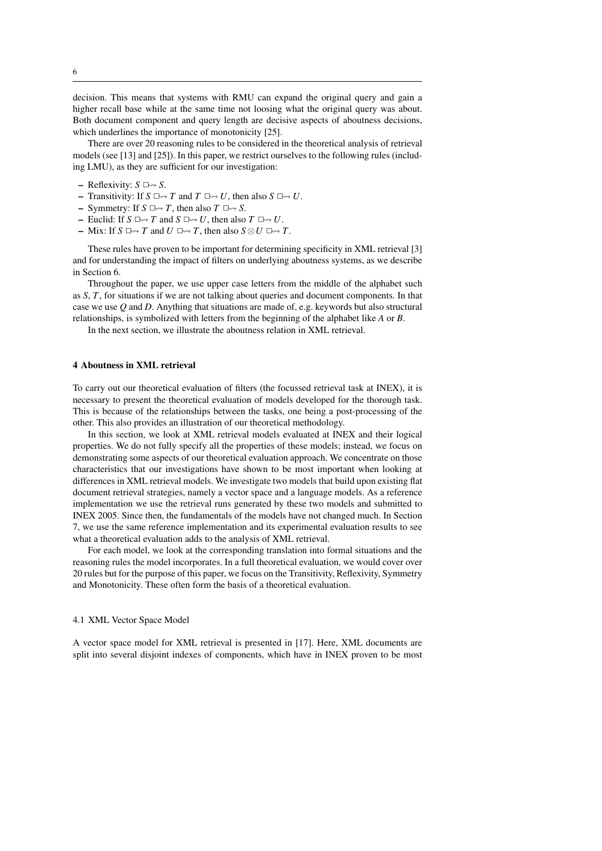decision. This means that systems with RMU can expand the original query and gain a higher recall base while at the same time not loosing what the original query was about. Both document component and query length are decisive aspects of aboutness decisions, which underlines the importance of monotonicity [25].

There are over 20 reasoning rules to be considered in the theoretical analysis of retrieval models (see [13] and [25]). In this paper, we restrict ourselves to the following rules (including LMU), as they are sufficient for our investigation:

- $\rightarrow$  Reflexivity: *S*  $\Box \rightarrow S$ .
- Transitivity: If  $S \Box \rightarrow T$  and  $T \Box \rightarrow U$ , then also  $S \Box \rightarrow U$ .
- $-$  Symmetry: If  $S \Box \rightarrow T$ , then also  $T \Box \rightarrow S$ .
- Euclid: If  $S \Box \rightarrow T$  and  $S \Box \rightarrow U$ , then also  $T \Box \rightarrow U$ .
- $-$  Mix: If *S* □  $\rightarrow$  *T* and *U* □  $\rightarrow$  *T*, then also *S* ⊗ *U* □  $\rightarrow$  *T*.

These rules have proven to be important for determining specificity in XML retrieval [3] and for understanding the impact of filters on underlying aboutness systems, as we describe in Section 6.

Throughout the paper, we use upper case letters from the middle of the alphabet such as *S*, *T*, for situations if we are not talking about queries and document components. In that case we use *Q* and *D*. Anything that situations are made of, e.g. keywords but also structural relationships, is symbolized with letters from the beginning of the alphabet like *A* or *B*.

In the next section, we illustrate the aboutness relation in XML retrieval.

### 4 Aboutness in XML retrieval

To carry out our theoretical evaluation of filters (the focussed retrieval task at INEX), it is necessary to present the theoretical evaluation of models developed for the thorough task. This is because of the relationships between the tasks, one being a post-processing of the other. This also provides an illustration of our theoretical methodology.

In this section, we look at XML retrieval models evaluated at INEX and their logical properties. We do not fully specify all the properties of these models; instead, we focus on demonstrating some aspects of our theoretical evaluation approach. We concentrate on those characteristics that our investigations have shown to be most important when looking at differences in XML retrieval models. We investigate two models that build upon existing flat document retrieval strategies, namely a vector space and a language models. As a reference implementation we use the retrieval runs generated by these two models and submitted to INEX 2005. Since then, the fundamentals of the models have not changed much. In Section 7, we use the same reference implementation and its experimental evaluation results to see what a theoretical evaluation adds to the analysis of XML retrieval.

For each model, we look at the corresponding translation into formal situations and the reasoning rules the model incorporates. In a full theoretical evaluation, we would cover over 20 rules but for the purpose of this paper, we focus on the Transitivity, Reflexivity, Symmetry and Monotonicity. These often form the basis of a theoretical evaluation.

#### 4.1 XML Vector Space Model

A vector space model for XML retrieval is presented in [17]. Here, XML documents are split into several disjoint indexes of components, which have in INEX proven to be most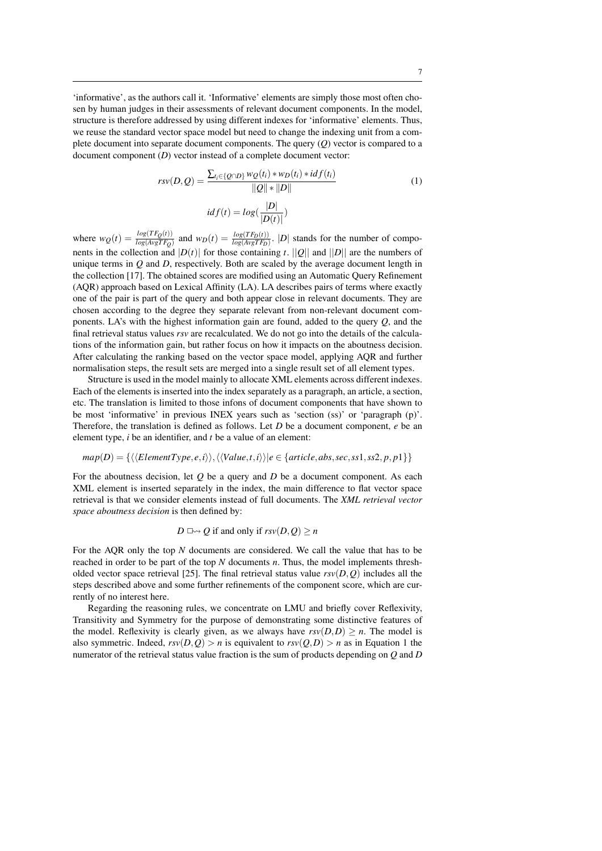'informative', as the authors call it. 'Informative' elements are simply those most often chosen by human judges in their assessments of relevant document components. In the model, structure is therefore addressed by using different indexes for 'informative' elements. Thus, we reuse the standard vector space model but need to change the indexing unit from a complete document into separate document components. The query (*Q*) vector is compared to a document component (*D*) vector instead of a complete document vector:

$$
rsv(D,Q) = \frac{\sum_{i_i \in \{Q \cap D\}} w_Q(t_i) * w_D(t_i) * idf(t_i)}{\|Q\| * \|D\|}
$$
  

$$
idf(t) = log(\frac{|D|}{|D(t)|})
$$
 (1)

where  $w_Q(t) = \frac{\log(TF_Q(t))}{\log(\text{AvgTF}_Q)}$  and  $w_D(t) = \frac{\log(TF_D(t))}{\log(\text{AvgTF}_D)}$ . |D| stands for the number of components in the collection and  $|D(t)|$  for those containing *t*.  $||Q||$  and  $||D||$  are the numbers of unique terms in *Q* and *D*, respectively. Both are scaled by the average document length in the collection [17]. The obtained scores are modified using an Automatic Query Refinement (AQR) approach based on Lexical Affinity (LA). LA describes pairs of terms where exactly one of the pair is part of the query and both appear close in relevant documents. They are chosen according to the degree they separate relevant from non-relevant document components. LA's with the highest information gain are found, added to the query *Q*, and the final retrieval status values *rsv* are recalculated. We do not go into the details of the calculations of the information gain, but rather focus on how it impacts on the aboutness decision. After calculating the ranking based on the vector space model, applying AQR and further normalisation steps, the result sets are merged into a single result set of all element types.

Structure is used in the model mainly to allocate XML elements across different indexes. Each of the elements is inserted into the index separately as a paragraph, an article, a section, etc. The translation is limited to those infons of document components that have shown to be most 'informative' in previous INEX years such as 'section (ss)' or 'paragraph (p)'. Therefore, the translation is defined as follows. Let *D* be a document component, *e* be an element type, *i* be an identifier, and *t* be a value of an element:

$$
map(D) = \{ \langle \langle ElementType,e,i\rangle \rangle, \langle \langle Value,t,i\rangle \rangle | e \in \{article,abs,sec,ss1,ss2,p,p1\} \}
$$

For the aboutness decision, let *Q* be a query and *D* be a document component. As each XML element is inserted separately in the index, the main difference to flat vector space retrieval is that we consider elements instead of full documents. The *XML retrieval vector space aboutness decision* is then defined by:

$$
D \Box \rightarrow Q
$$
 if and only if  $rsv(D,Q) \ge n$ 

For the AQR only the top *N* documents are considered. We call the value that has to be reached in order to be part of the top *N* documents *n*. Thus, the model implements thresholded vector space retrieval [25]. The final retrieval status value  $rsv(D,Q)$  includes all the steps described above and some further refinements of the component score, which are currently of no interest here.

Regarding the reasoning rules, we concentrate on LMU and briefly cover Reflexivity, Transitivity and Symmetry for the purpose of demonstrating some distinctive features of the model. Reflexivity is clearly given, as we always have  $rsv(D,D) > n$ . The model is also symmetric. Indeed,  $\text{rsv}(D,Q) > n$  is equivalent to  $\text{rsv}(Q,D) > n$  as in Equation 1 the numerator of the retrieval status value fraction is the sum of products depending on *Q* and *D*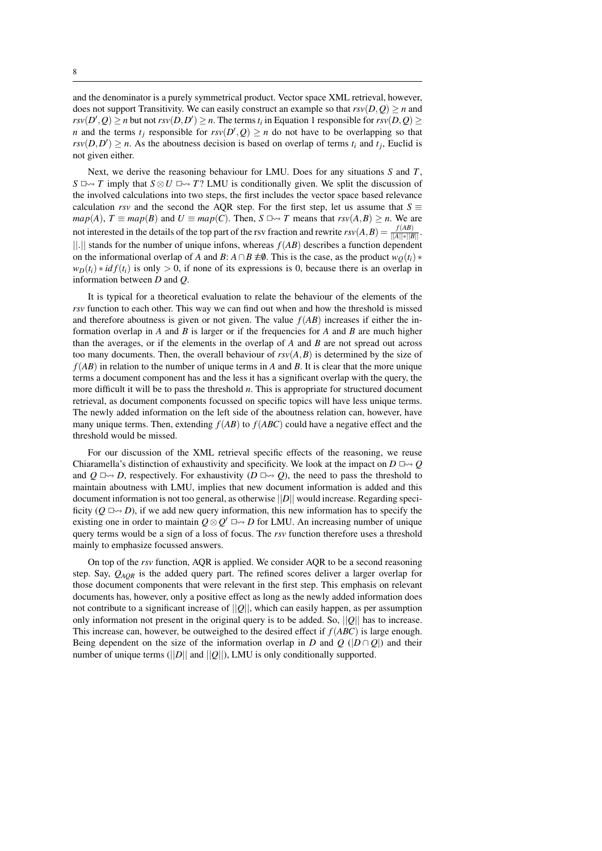and the denominator is a purely symmetrical product. Vector space XML retrieval, however, does not support Transitivity. We can easily construct an example so that  $rsv(D,Q) \geq n$  and  $rsv(D',Q) \geq n$  but not  $rsv(D,D') \geq n$ . The terms  $t_i$  in Equation 1 responsible for  $rsv(D,Q) \geq n$ *n* and the terms  $t_j$  responsible for  $rsv(D', Q) \geq n$  do not have to be overlapping so that  $rsv(D, D') \ge n$ . As the aboutness decision is based on overlap of terms  $t_i$  and  $t_j$ , Euclid is not given either.

Next, we derive the reasoning behaviour for LMU. Does for any situations *S* and *T*, *S*  $\Box$   $\rightarrow$  *T* imply that *S* ⊗ *U*  $\Box$   $\rightarrow$  *T*? LMU is conditionally given. We split the discussion of the involved calculations into two steps, the first includes the vector space based relevance calculation *rsv* and the second the AOR step. For the first step, let us assume that  $S \equiv$ *map*(*A*), *T*  $\equiv$  *map*(*B*) and *U*  $\equiv$  *map*(*C*). Then, *S*  $\Box \rightarrow$  *T* means that  $rsv(A, B) \ge n$ . We are not interested in the details of the top part of the rsv fraction and rewrite  $rsv(A, B) = \frac{f(AB)}{||A|| ||B||}$ . ||.|| stands for the number of unique infons, whereas *f*(*AB*) describes a function dependent on the informational overlap of *A* and *B*:  $A \cap B \neq \emptyset$ . This is the case, as the product  $w<sub>O</sub>(t<sub>i</sub>)$  \*  $w_D(t_i) * id f(t_i)$  is only > 0, if none of its expressions is 0, because there is an overlap in information between *D* and *Q*.

It is typical for a theoretical evaluation to relate the behaviour of the elements of the *rsv* function to each other. This way we can find out when and how the threshold is missed and therefore aboutness is given or not given. The value  $f(AB)$  increases if either the information overlap in *A* and *B* is larger or if the frequencies for *A* and *B* are much higher than the averages, or if the elements in the overlap of *A* and *B* are not spread out across too many documents. Then, the overall behaviour of  $\text{rsv}(A, B)$  is determined by the size of *f*(*AB*) in relation to the number of unique terms in *A* and *B*. It is clear that the more unique terms a document component has and the less it has a significant overlap with the query, the more difficult it will be to pass the threshold *n*. This is appropriate for structured document retrieval, as document components focussed on specific topics will have less unique terms. The newly added information on the left side of the aboutness relation can, however, have many unique terms. Then, extending  $f(AB)$  to  $f(ABC)$  could have a negative effect and the threshold would be missed.

For our discussion of the XML retrieval specific effects of the reasoning, we reuse Chiaramella's distinction of exhaustivity and specificity. We look at the impact on  $D \Box \leadsto Q$ and  $Q \Box \rightarrow D$ , respectively. For exhaustivity  $(D \Box \rightarrow Q)$ , the need to pass the threshold to maintain aboutness with LMU, implies that new document information is added and this document information is not too general, as otherwise ||*D*|| would increase. Regarding specificity  $(Q \Box \rightarrow D)$ , if we add new query information, this new information has to specify the existing one in order to maintain  $Q \otimes Q' \square \rightarrow D$  for LMU. An increasing number of unique query terms would be a sign of a loss of focus. The *rsv* function therefore uses a threshold mainly to emphasize focussed answers.

On top of the *rsv* function, AQR is applied. We consider AQR to be a second reasoning step. Say, *QAQR* is the added query part. The refined scores deliver a larger overlap for those document components that were relevant in the first step. This emphasis on relevant documents has, however, only a positive effect as long as the newly added information does not contribute to a significant increase of  $||Q||$ , which can easily happen, as per assumption only information not present in the original query is to be added. So, ||*Q*|| has to increase. This increase can, however, be outweighed to the desired effect if *f*(*ABC*) is large enough. Being dependent on the size of the information overlap in *D* and  $Q$  ( $|D \cap Q|$ ) and their number of unique terms ( $||D||$  and  $||Q||$ ), LMU is only conditionally supported.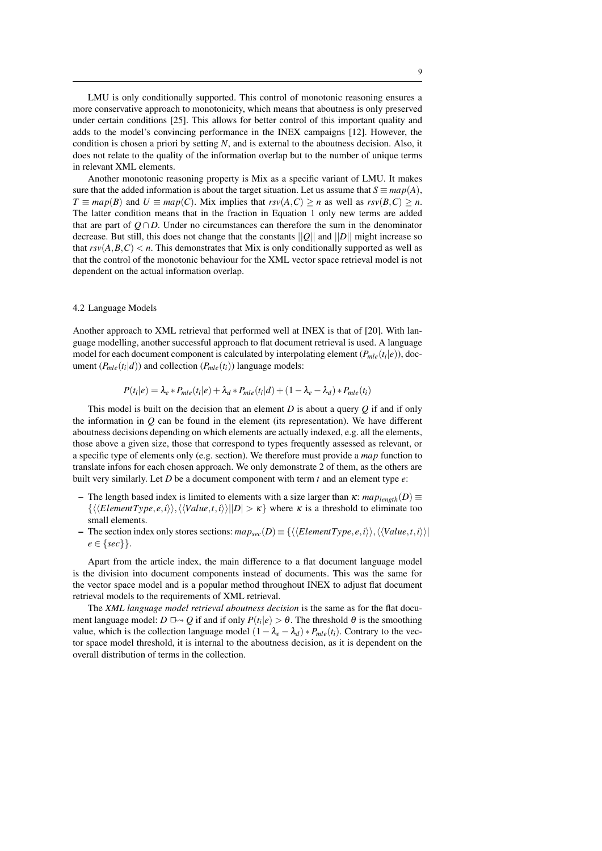LMU is only conditionally supported. This control of monotonic reasoning ensures a more conservative approach to monotonicity, which means that aboutness is only preserved under certain conditions [25]. This allows for better control of this important quality and adds to the model's convincing performance in the INEX campaigns [12]. However, the condition is chosen a priori by setting *N*, and is external to the aboutness decision. Also, it does not relate to the quality of the information overlap but to the number of unique terms in relevant XML elements.

Another monotonic reasoning property is Mix as a specific variant of LMU. It makes sure that the added information is about the target situation. Let us assume that  $S \equiv map(A)$ ,  $T \equiv map(B)$  and  $U \equiv map(C)$ . Mix implies that  $rsv(A,C) \ge n$  as well as  $rsv(B,C) \ge n$ . The latter condition means that in the fraction in Equation 1 only new terms are added that are part of *Q* ∩ *D*. Under no circumstances can therefore the sum in the denominator decrease. But still, this does not change that the constants ||*Q*|| and ||*D*|| might increase so that  $rsv(A, B, C) < n$ . This demonstrates that Mix is only conditionally supported as well as that the control of the monotonic behaviour for the XML vector space retrieval model is not dependent on the actual information overlap.

### 4.2 Language Models

Another approach to XML retrieval that performed well at INEX is that of [20]. With language modelling, another successful approach to flat document retrieval is used. A language model for each document component is calculated by interpolating element (*Pmle*(*t<sup>i</sup>* |*e*)), document  $(P_{mle}(t_i|d))$  and collection  $(P_{mle}(t_i))$  language models:

$$
P(t_i|e) = \lambda_e * P_{mle}(t_i|e) + \lambda_d * P_{mle}(t_i|d) + (1 - \lambda_e - \lambda_d) * P_{mle}(t_i)
$$

This model is built on the decision that an element *D* is about a query *Q* if and if only the information in *Q* can be found in the element (its representation). We have different aboutness decisions depending on which elements are actually indexed, e.g. all the elements, those above a given size, those that correspond to types frequently assessed as relevant, or a specific type of elements only (e.g. section). We therefore must provide a *map* function to translate infons for each chosen approach. We only demonstrate 2 of them, as the others are built very similarly. Let *D* be a document component with term *t* and an element type *e*:

- The length based index is limited to elements with a size larger than  $\kappa$ :  $map_{length}(D) \equiv$  $\{\langle\langle ElementType, e, i\rangle\rangle, \langle\langle Value, t, i\rangle\rangle||D| > \kappa\}$  where  $\kappa$  is a threshold to eliminate too small elements.
- The section index only stores sections:  $map_{sec}(D) \equiv \{ \langle \langle ElementType, e, i \rangle \rangle, \langle \langle Value, t, i \rangle \rangle |$  $e \in \{sec\}\}.$

Apart from the article index, the main difference to a flat document language model is the division into document components instead of documents. This was the same for the vector space model and is a popular method throughout INEX to adjust flat document retrieval models to the requirements of XML retrieval.

The *XML language model retrieval aboutness decision* is the same as for the flat document language model:  $D \Box \rightarrow Q$  if and if only  $P(t_i|e) > \theta$ . The threshold  $\theta$  is the smoothing value, which is the collection language model  $(1 - \lambda_e - \lambda_d) * P_{mle}(t_i)$ . Contrary to the vector space model threshold, it is internal to the aboutness decision, as it is dependent on the overall distribution of terms in the collection.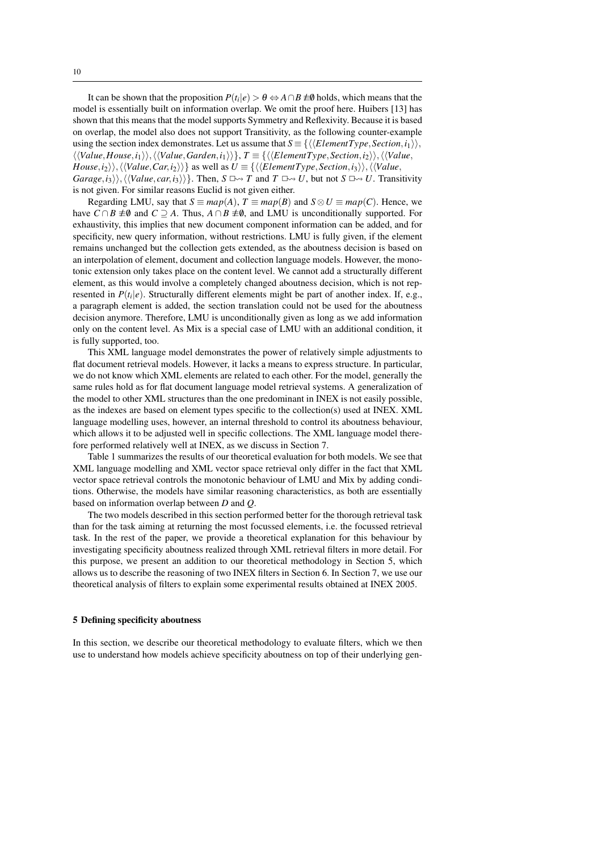It can be shown that the proposition  $P(t_i|e) > \theta \Leftrightarrow A \cap B \not\equiv \emptyset$  holds, which means that the model is essentially built on information overlap. We omit the proof here. Huibers [13] has shown that this means that the model supports Symmetry and Reflexivity. Because it is based on overlap, the model also does not support Transitivity, as the following counter-example using the section index demonstrates. Let us assume that  $S = \{ \langle \langle ElementType,Section, i_1 \rangle \rangle, \}$  $\langle \langle Value, House, i_1 \rangle \rangle, \langle \langle Value, Garden, i_1 \rangle \rangle,$   $T \equiv \{ \langle \langle ElementType,Section, i_2 \rangle \rangle, \langle \langle Value,$ *House*,*i*<sub>2</sub> $\rangle$ ,  $\langle$ *Value*,*Car*,*i*<sub>2</sub> $\rangle$ } as well as *U*  $\equiv$   $\{$   $\langle$ *ElementType*, *Section*,*i*<sub>3</sub> $\rangle$ ,  $\langle$ */Value*, *Garage*,*i*<sub>3</sub>),  $\langle$   $\langle Value, car, i_3 \rangle \rangle$ . Then, *S*  $\Box \rightarrow T$  and *T*  $\Box \rightarrow U$ , but not *S*  $\Box \rightarrow U$ . Transitivity is not given. For similar reasons Euclid is not given either.

Regarding LMU, say that  $S \equiv map(A)$ ,  $T \equiv map(B)$  and  $S \otimes U \equiv map(C)$ . Hence, we have *C* ∩ *B*  $\neq$  0 and *C*  $\supseteq$  *A*. Thus, *A* ∩ *B*  $\neq$  0, and LMU is unconditionally supported. For exhaustivity, this implies that new document component information can be added, and for specificity, new query information, without restrictions. LMU is fully given, if the element remains unchanged but the collection gets extended, as the aboutness decision is based on an interpolation of element, document and collection language models. However, the monotonic extension only takes place on the content level. We cannot add a structurally different element, as this would involve a completely changed aboutness decision, which is not represented in  $P(t_i|e)$ . Structurally different elements might be part of another index. If, e.g., a paragraph element is added, the section translation could not be used for the aboutness decision anymore. Therefore, LMU is unconditionally given as long as we add information only on the content level. As Mix is a special case of LMU with an additional condition, it is fully supported, too.

This XML language model demonstrates the power of relatively simple adjustments to flat document retrieval models. However, it lacks a means to express structure. In particular, we do not know which XML elements are related to each other. For the model, generally the same rules hold as for flat document language model retrieval systems. A generalization of the model to other XML structures than the one predominant in INEX is not easily possible, as the indexes are based on element types specific to the collection(s) used at INEX. XML language modelling uses, however, an internal threshold to control its aboutness behaviour, which allows it to be adjusted well in specific collections. The XML language model therefore performed relatively well at INEX, as we discuss in Section 7.

Table 1 summarizes the results of our theoretical evaluation for both models. We see that XML language modelling and XML vector space retrieval only differ in the fact that XML vector space retrieval controls the monotonic behaviour of LMU and Mix by adding conditions. Otherwise, the models have similar reasoning characteristics, as both are essentially based on information overlap between *D* and *Q*.

The two models described in this section performed better for the thorough retrieval task than for the task aiming at returning the most focussed elements, i.e. the focussed retrieval task. In the rest of the paper, we provide a theoretical explanation for this behaviour by investigating specificity aboutness realized through XML retrieval filters in more detail. For this purpose, we present an addition to our theoretical methodology in Section 5, which allows us to describe the reasoning of two INEX filters in Section 6. In Section 7, we use our theoretical analysis of filters to explain some experimental results obtained at INEX 2005.

#### 5 Defining specificity aboutness

In this section, we describe our theoretical methodology to evaluate filters, which we then use to understand how models achieve specificity aboutness on top of their underlying gen-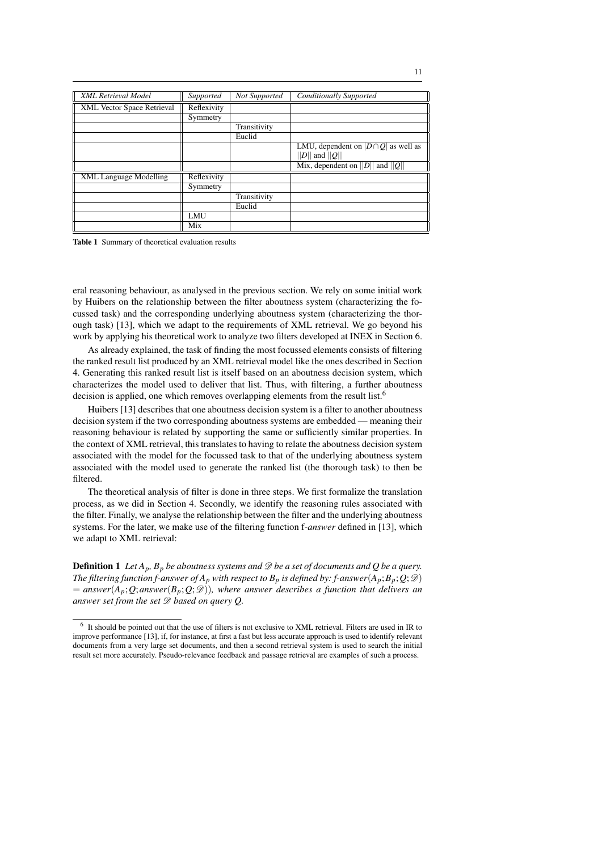| <b>XML</b> Retrieval Model        | Supported   | Not Supported | Conditionally Supported                   |
|-----------------------------------|-------------|---------------|-------------------------------------------|
| <b>XML Vector Space Retrieval</b> | Reflexivity |               |                                           |
|                                   | Symmetry    |               |                                           |
|                                   |             | Transitivity  |                                           |
|                                   |             | Euclid        |                                           |
|                                   |             |               | LMU, dependent on $ D \cap Q $ as well as |
|                                   |             |               | $ D $ and $  Q  $                         |
|                                   |             |               | Mix, dependent on $  D  $ and $  Q  $     |
| <b>XML Language Modelling</b>     | Reflexivity |               |                                           |
|                                   | Symmetry    |               |                                           |
|                                   |             | Transitivity  |                                           |
|                                   |             | Euclid        |                                           |
|                                   | LMU         |               |                                           |
|                                   | Mix         |               |                                           |

Table 1 Summary of theoretical evaluation results

eral reasoning behaviour, as analysed in the previous section. We rely on some initial work by Huibers on the relationship between the filter aboutness system (characterizing the focussed task) and the corresponding underlying aboutness system (characterizing the thorough task) [13], which we adapt to the requirements of XML retrieval. We go beyond his work by applying his theoretical work to analyze two filters developed at INEX in Section 6.

As already explained, the task of finding the most focussed elements consists of filtering the ranked result list produced by an XML retrieval model like the ones described in Section 4. Generating this ranked result list is itself based on an aboutness decision system, which characterizes the model used to deliver that list. Thus, with filtering, a further aboutness decision is applied, one which removes overlapping elements from the result list.<sup>6</sup>

Huibers [13] describes that one aboutness decision system is a filter to another aboutness decision system if the two corresponding aboutness systems are embedded — meaning their reasoning behaviour is related by supporting the same or sufficiently similar properties. In the context of XML retrieval, this translates to having to relate the aboutness decision system associated with the model for the focussed task to that of the underlying aboutness system associated with the model used to generate the ranked list (the thorough task) to then be filtered.

The theoretical analysis of filter is done in three steps. We first formalize the translation process, as we did in Section 4. Secondly, we identify the reasoning rules associated with the filter. Finally, we analyse the relationship between the filter and the underlying aboutness systems. For the later, we make use of the filtering function f-*answer* defined in [13], which we adapt to XML retrieval:

**Definition 1** *Let*  $A_p$ *,*  $B_p$  *be aboutness systems and*  $\mathscr D$  *be a set of documents and*  $Q$  *be a query. The filtering function f-answer of*  $A_p$  *with respect to*  $B_p$  *is defined by: f-answer* $(A_p; B_p; Q; \mathscr{D})$  $=$  *answer*( $A_p$ ; Q; answer( $B_p$ ; Q;  $\mathscr{D}$ )), where answer describes a function that delivers an *answer set from the set*  $\mathscr D$  *based on query Q.* 

<sup>&</sup>lt;sup>6</sup> It should be pointed out that the use of filters is not exclusive to XML retrieval. Filters are used in IR to improve performance [13], if, for instance, at first a fast but less accurate approach is used to identify relevant documents from a very large set documents, and then a second retrieval system is used to search the initial result set more accurately. Pseudo-relevance feedback and passage retrieval are examples of such a process.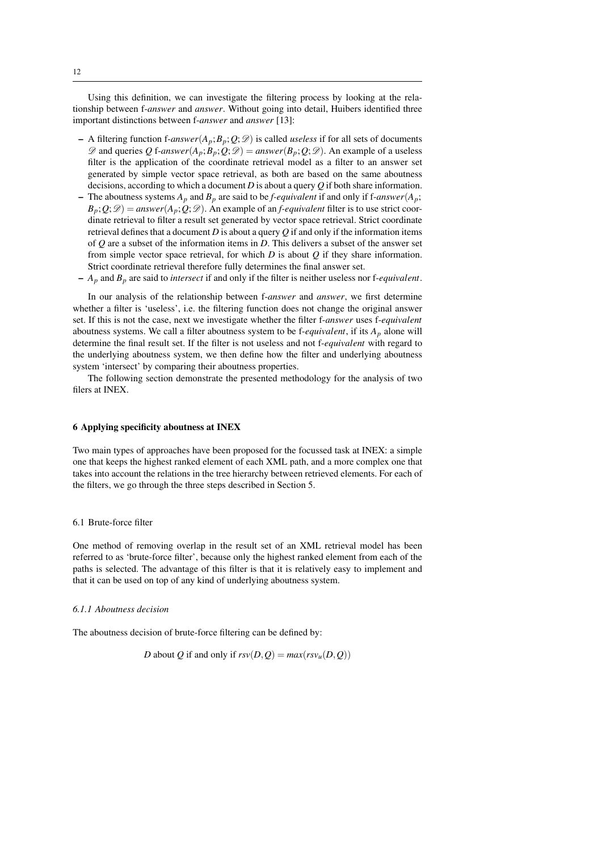Using this definition, we can investigate the filtering process by looking at the relationship between f-*answer* and *answer*. Without going into detail, Huibers identified three important distinctions between f-*answer* and *answer* [13]:

- A filtering function f-answer( $A_p$ ;  $B_p$ ;  $Q$ ;  $D$ ) is called *useless* if for all sets of documents  $\mathscr{D}$  and queries Q f-answer $(A_p; B_p; Q; \mathscr{D}) = answer(B_p; Q; \mathscr{D})$ . An example of a useless filter is the application of the coordinate retrieval model as a filter to an answer set generated by simple vector space retrieval, as both are based on the same aboutness decisions, according to which a document *D* is about a query *Q* if both share information.
- The aboutness systems  $A_p$  and  $B_p$  are said to be *f-equivalent* if and only if f-*answer*( $A_p$ ;  $B_p$ ;  $Q$ ;  $\mathscr{D}$ ) = *answer*( $A_p$ ;  $Q$ ;  $\mathscr{D}$ ). An example of an *f-equivalent* filter is to use strict coordinate retrieval to filter a result set generated by vector space retrieval. Strict coordinate retrieval defines that a document *D* is about a query *Q* if and only if the information items of *Q* are a subset of the information items in *D*. This delivers a subset of the answer set from simple vector space retrieval, for which *D* is about *Q* if they share information. Strict coordinate retrieval therefore fully determines the final answer set.
- *A<sup>p</sup>* and *B<sup>p</sup>* are said to *intersect* if and only if the filter is neither useless nor f-*equivalent*.

In our analysis of the relationship between f-*answer* and *answer*, we first determine whether a filter is 'useless', i.e. the filtering function does not change the original answer set. If this is not the case, next we investigate whether the filter f-*answer* uses f-*equivalent* aboutness systems. We call a filter aboutness system to be f-*equivalent*, if its *A<sup>p</sup>* alone will determine the final result set. If the filter is not useless and not f-*equivalent* with regard to the underlying aboutness system, we then define how the filter and underlying aboutness system 'intersect' by comparing their aboutness properties.

The following section demonstrate the presented methodology for the analysis of two filers at INEX.

### 6 Applying specificity aboutness at INEX

Two main types of approaches have been proposed for the focussed task at INEX: a simple one that keeps the highest ranked element of each XML path, and a more complex one that takes into account the relations in the tree hierarchy between retrieved elements. For each of the filters, we go through the three steps described in Section 5.

# 6.1 Brute-force filter

One method of removing overlap in the result set of an XML retrieval model has been referred to as 'brute-force filter', because only the highest ranked element from each of the paths is selected. The advantage of this filter is that it is relatively easy to implement and that it can be used on top of any kind of underlying aboutness system.

### *6.1.1 Aboutness decision*

The aboutness decision of brute-force filtering can be defined by:

*D* about *Q* if and only if  $rsv(D,Q) = max(rsv_u(D,Q))$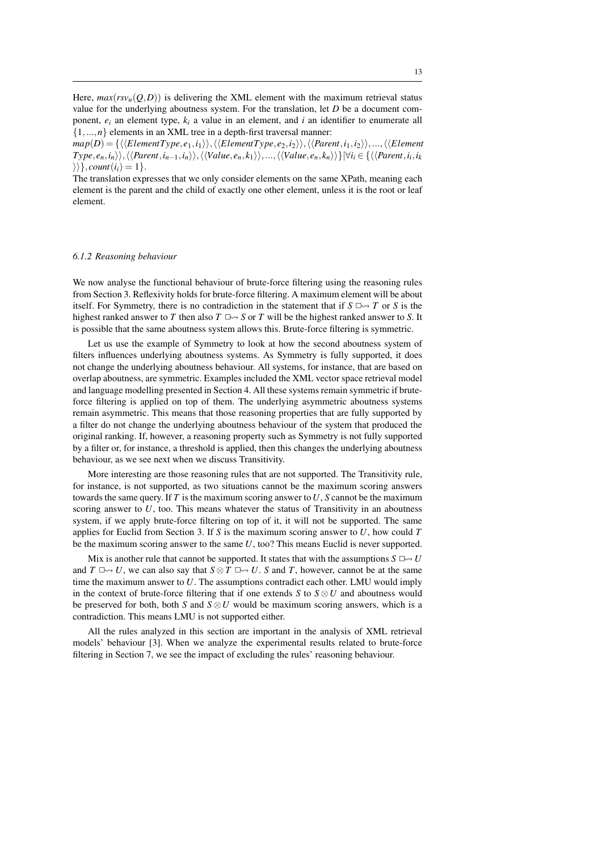Here,  $max(rsv_u(Q, D))$  is delivering the XML element with the maximum retrieval status value for the underlying aboutness system. For the translation, let *D* be a document component,  $e_i$  an element type,  $k_i$  a value in an element, and  $i$  an identifier to enumerate all  $\{1,...,n\}$  elements in an XML tree in a depth-first traversal manner:

 $map(D) = \{\langle\langle ElementType, e_1, i_1\rangle\rangle, \langle\langle ElementType, e_2, i_2\rangle\rangle, \langle\langle Parent, i_1, i_2\rangle\rangle, ..., \langle\langle ElementType, e_n, i_1\rangle\rangle\rangle\}$  $Type, e_n, i_n \rangle \rangle, \langle \langle Parent, i_{n-1}, i_n \rangle \rangle, \langle \langle Value, e_n, k_1 \rangle \rangle, ..., \langle \langle Value, e_n, k_n \rangle \rangle \}|\forall i_i \in \{ \langle \langle Parent, i_i, i_k, k_1 \rangle \rangle, \langle A_i, k_2 \rangle \}$  $\{\}\}, count(i_i) = 1\}.$ 

The translation expresses that we only consider elements on the same XPath, meaning each element is the parent and the child of exactly one other element, unless it is the root or leaf element.

### *6.1.2 Reasoning behaviour*

We now analyse the functional behaviour of brute-force filtering using the reasoning rules from Section 3. Reflexivity holds for brute-force filtering. A maximum element will be about itself. For Symmetry, there is no contradiction in the statement that if  $S \Box \rightarrow Y$  or *S* is the highest ranked answer to *T* then also *T*  $\Box \rightarrow S$  or *T* will be the highest ranked answer to *S*. It is possible that the same aboutness system allows this. Brute-force filtering is symmetric.

Let us use the example of Symmetry to look at how the second aboutness system of filters influences underlying aboutness systems. As Symmetry is fully supported, it does not change the underlying aboutness behaviour. All systems, for instance, that are based on overlap aboutness, are symmetric. Examples included the XML vector space retrieval model and language modelling presented in Section 4. All these systems remain symmetric if bruteforce filtering is applied on top of them. The underlying asymmetric aboutness systems remain asymmetric. This means that those reasoning properties that are fully supported by a filter do not change the underlying aboutness behaviour of the system that produced the original ranking. If, however, a reasoning property such as Symmetry is not fully supported by a filter or, for instance, a threshold is applied, then this changes the underlying aboutness behaviour, as we see next when we discuss Transitivity.

More interesting are those reasoning rules that are not supported. The Transitivity rule, for instance, is not supported, as two situations cannot be the maximum scoring answers towards the same query. If *T* is the maximum scoring answer to *U*, *S* cannot be the maximum scoring answer to  $U$ , too. This means whatever the status of Transitivity in an aboutness system, if we apply brute-force filtering on top of it, it will not be supported. The same applies for Euclid from Section 3. If *S* is the maximum scoring answer to *U*, how could *T* be the maximum scoring answer to the same *U*, too? This means Euclid is never supported.

Mix is another rule that cannot be supported. It states that with the assumptions  $S \to V$ and *T*  $\Box \rightarrow U$ , we can also say that  $S \otimes T \Box \rightarrow U$ . *S* and *T*, however, cannot be at the same time the maximum answer to *U*. The assumptions contradict each other. LMU would imply in the context of brute-force filtering that if one extends  $S$  to  $S \otimes U$  and aboutness would be preserved for both, both *S* and *S* ⊗*U* would be maximum scoring answers, which is a contradiction. This means LMU is not supported either.

All the rules analyzed in this section are important in the analysis of XML retrieval models' behaviour [3]. When we analyze the experimental results related to brute-force filtering in Section 7, we see the impact of excluding the rules' reasoning behaviour.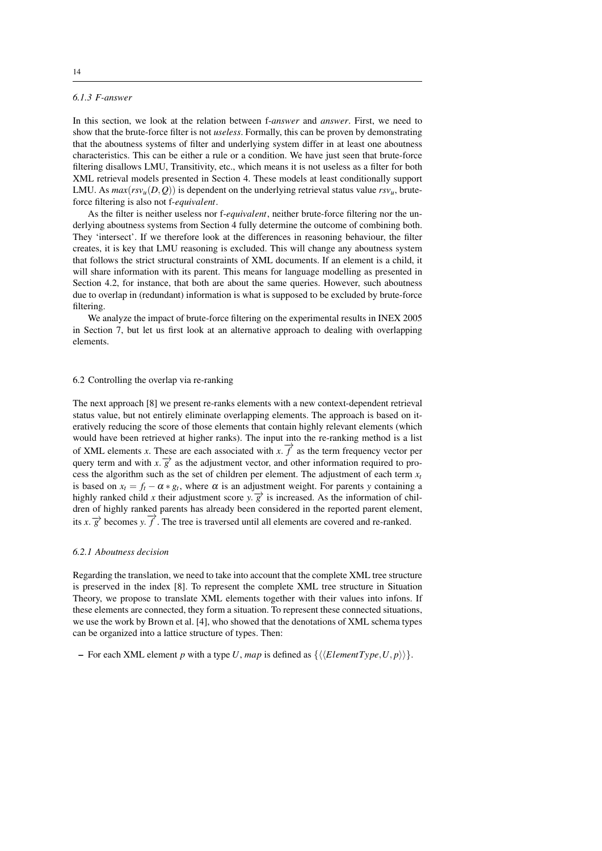# *6.1.3 F-answer*

In this section, we look at the relation between f-*answer* and *answer*. First, we need to show that the brute-force filter is not *useless*. Formally, this can be proven by demonstrating that the aboutness systems of filter and underlying system differ in at least one aboutness characteristics. This can be either a rule or a condition. We have just seen that brute-force filtering disallows LMU, Transitivity, etc., which means it is not useless as a filter for both XML retrieval models presented in Section 4. These models at least conditionally support LMU. As  $max(rsv_u(D,Q))$  is dependent on the underlying retrieval status value  $rsv_u$ , bruteforce filtering is also not f-*equivalent*.

As the filter is neither useless nor f-*equivalent*, neither brute-force filtering nor the underlying aboutness systems from Section 4 fully determine the outcome of combining both. They 'intersect'. If we therefore look at the differences in reasoning behaviour, the filter creates, it is key that LMU reasoning is excluded. This will change any aboutness system that follows the strict structural constraints of XML documents. If an element is a child, it will share information with its parent. This means for language modelling as presented in Section 4.2, for instance, that both are about the same queries. However, such aboutness due to overlap in (redundant) information is what is supposed to be excluded by brute-force filtering.

We analyze the impact of brute-force filtering on the experimental results in INEX 2005 in Section 7, but let us first look at an alternative approach to dealing with overlapping elements.

# 6.2 Controlling the overlap via re-ranking

The next approach [8] we present re-ranks elements with a new context-dependent retrieval status value, but not entirely eliminate overlapping elements. The approach is based on iteratively reducing the score of those elements that contain highly relevant elements (which would have been retrieved at higher ranks). The input into the re-ranking method is a list of XML elements *x*. These are each associated with  $x \cdot \overrightarrow{f}$  as the term frequency vector per query term and with  $x \cdot \overrightarrow{g}$  as the adjustment vector, and other information required to process the algorithm such as the set of children per element. The adjustment of each term *x<sup>t</sup>* is based on  $x_t = f_t - \alpha * g_t$ , where  $\alpha$  is an adjustment weight. For parents *y* containing a highly ranked child *x* their adjustment score  $y.\overrightarrow{g}$  is increased. As the information of children of highly ranked parents has already been considered in the reported parent element, its  $x \cdot \overrightarrow{g}$  becomes *y*.  $\overrightarrow{f}$ . The tree is traversed until all elements are covered and re-ranked.

# *6.2.1 Aboutness decision*

Regarding the translation, we need to take into account that the complete XML tree structure is preserved in the index [8]. To represent the complete XML tree structure in Situation Theory, we propose to translate XML elements together with their values into infons. If these elements are connected, they form a situation. To represent these connected situations, we use the work by Brown et al. [4], who showed that the denotations of XML schema types can be organized into a lattice structure of types. Then:

– For each XML element *p* with a type *U*, *map* is defined as  $\{ \langle \langle ElementType, U, p \rangle \rangle \}.$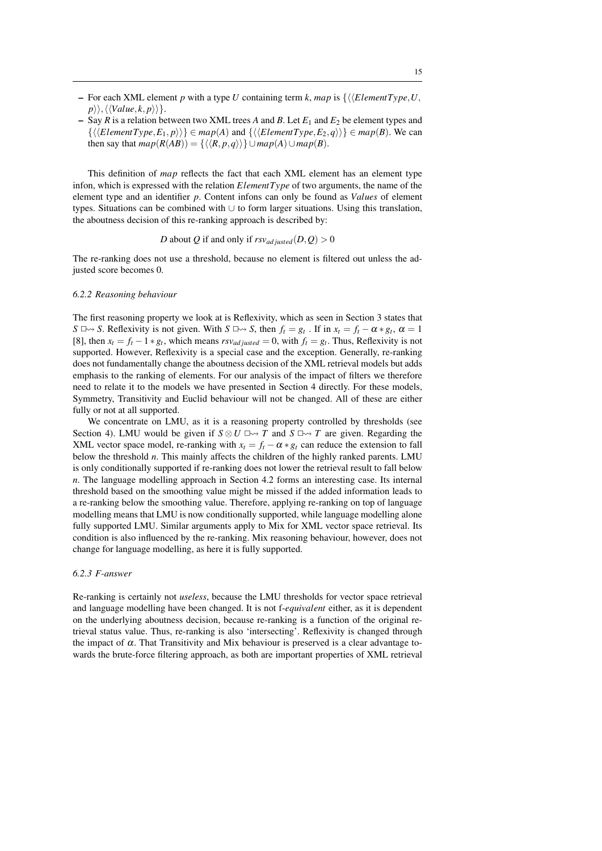- For each XML element *p* with a type *U* containing term *k*, *map* is  $\{ \langle \langle ElementType, U, \rangle \rangle \}$  $p\rangle\rangle, \langle \langle Value, k, p \rangle \rangle.$
- Say *R* is a relation between two XML trees *A* and *B*. Let  $E_1$  and  $E_2$  be element types and  $\{\langle\langle ElementType, E_1, p \rangle\rangle\} \in map(A) \text{ and } \{\langle\langle ElementType, E_2, q \rangle\rangle\} \in map(B).$  We can then say that  $map(R(AB)) = \{ \langle \langle R, p, q \rangle \rangle \} \cup map(A) \cup map(B)$ .

This definition of *map* reflects the fact that each XML element has an element type infon, which is expressed with the relation *ElementType* of two arguments, the name of the element type and an identifier *p*. Content infons can only be found as *Values* of element types. Situations can be combined with ∪ to form larger situations. Using this translation, the aboutness decision of this re-ranking approach is described by:

*D* about *Q* if and only if  $rsv_{ad\;justed}(D,Q) > 0$ 

The re-ranking does not use a threshold, because no element is filtered out unless the adjusted score becomes 0.

# *6.2.2 Reasoning behaviour*

The first reasoning property we look at is Reflexivity, which as seen in Section 3 states that *S*  $\Box \rightarrow$  *S*. Reflexivity is not given. With *S*  $\Box \rightarrow$  *S*, then  $f_t = g_t$ . If in  $x_t = f_t - \alpha * g_t$ ,  $\alpha = 1$ [8], then  $x_t = f_t - 1 * g_t$ , which means  $rsv_{adjusted} = 0$ , with  $f_t = g_t$ . Thus, Reflexivity is not supported. However, Reflexivity is a special case and the exception. Generally, re-ranking does not fundamentally change the aboutness decision of the XML retrieval models but adds emphasis to the ranking of elements. For our analysis of the impact of filters we therefore need to relate it to the models we have presented in Section 4 directly. For these models, Symmetry, Transitivity and Euclid behaviour will not be changed. All of these are either fully or not at all supported.

We concentrate on LMU, as it is a reasoning property controlled by thresholds (see Section 4). LMU would be given if  $S \otimes U \square \rightarrow T$  and  $S \square \rightarrow T$  are given. Regarding the XML vector space model, re-ranking with  $x_t = f_t - \alpha * g_t$  can reduce the extension to fall below the threshold *n*. This mainly affects the children of the highly ranked parents. LMU is only conditionally supported if re-ranking does not lower the retrieval result to fall below *n*. The language modelling approach in Section 4.2 forms an interesting case. Its internal threshold based on the smoothing value might be missed if the added information leads to a re-ranking below the smoothing value. Therefore, applying re-ranking on top of language modelling means that LMU is now conditionally supported, while language modelling alone fully supported LMU. Similar arguments apply to Mix for XML vector space retrieval. Its condition is also influenced by the re-ranking. Mix reasoning behaviour, however, does not change for language modelling, as here it is fully supported.

### *6.2.3 F-answer*

Re-ranking is certainly not *useless*, because the LMU thresholds for vector space retrieval and language modelling have been changed. It is not f-*equivalent* either, as it is dependent on the underlying aboutness decision, because re-ranking is a function of the original retrieval status value. Thus, re-ranking is also 'intersecting'. Reflexivity is changed through the impact of  $\alpha$ . That Transitivity and Mix behaviour is preserved is a clear advantage towards the brute-force filtering approach, as both are important properties of XML retrieval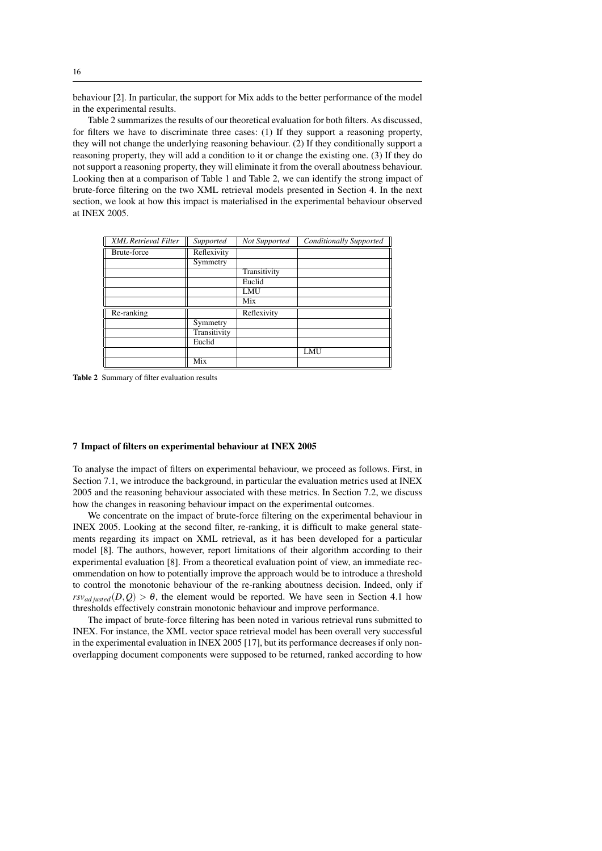behaviour [2]. In particular, the support for Mix adds to the better performance of the model in the experimental results.

Table 2 summarizes the results of our theoretical evaluation for both filters. As discussed, for filters we have to discriminate three cases: (1) If they support a reasoning property, they will not change the underlying reasoning behaviour. (2) If they conditionally support a reasoning property, they will add a condition to it or change the existing one. (3) If they do not support a reasoning property, they will eliminate it from the overall aboutness behaviour. Looking then at a comparison of Table 1 and Table 2, we can identify the strong impact of brute-force filtering on the two XML retrieval models presented in Section 4. In the next section, we look at how this impact is materialised in the experimental behaviour observed at INEX 2005.

| <b>XML</b> Retrieval Filter | Supported    | Not Supported | <b>Conditionally Supported</b> |
|-----------------------------|--------------|---------------|--------------------------------|
| Brute-force                 | Reflexivity  |               |                                |
|                             | Symmetry     |               |                                |
|                             |              | Transitivity  |                                |
|                             |              | Euclid        |                                |
|                             |              | LMU           |                                |
|                             |              | Mix           |                                |
| Re-ranking                  |              | Reflexivity   |                                |
|                             | Symmetry     |               |                                |
|                             | Transitivity |               |                                |
|                             | Euclid       |               |                                |
|                             |              |               | LMU                            |
|                             | Mix          |               |                                |

Table 2 Summary of filter evaluation results

# 7 Impact of filters on experimental behaviour at INEX 2005

To analyse the impact of filters on experimental behaviour, we proceed as follows. First, in Section 7.1, we introduce the background, in particular the evaluation metrics used at INEX 2005 and the reasoning behaviour associated with these metrics. In Section 7.2, we discuss how the changes in reasoning behaviour impact on the experimental outcomes.

We concentrate on the impact of brute-force filtering on the experimental behaviour in INEX 2005. Looking at the second filter, re-ranking, it is difficult to make general statements regarding its impact on XML retrieval, as it has been developed for a particular model [8]. The authors, however, report limitations of their algorithm according to their experimental evaluation [8]. From a theoretical evaluation point of view, an immediate recommendation on how to potentially improve the approach would be to introduce a threshold to control the monotonic behaviour of the re-ranking aboutness decision. Indeed, only if  $rsv_{add\,\,iusted}(D,Q) > \theta$ , the element would be reported. We have seen in Section 4.1 how thresholds effectively constrain monotonic behaviour and improve performance.

The impact of brute-force filtering has been noted in various retrieval runs submitted to INEX. For instance, the XML vector space retrieval model has been overall very successful in the experimental evaluation in INEX 2005 [17], but its performance decreases if only nonoverlapping document components were supposed to be returned, ranked according to how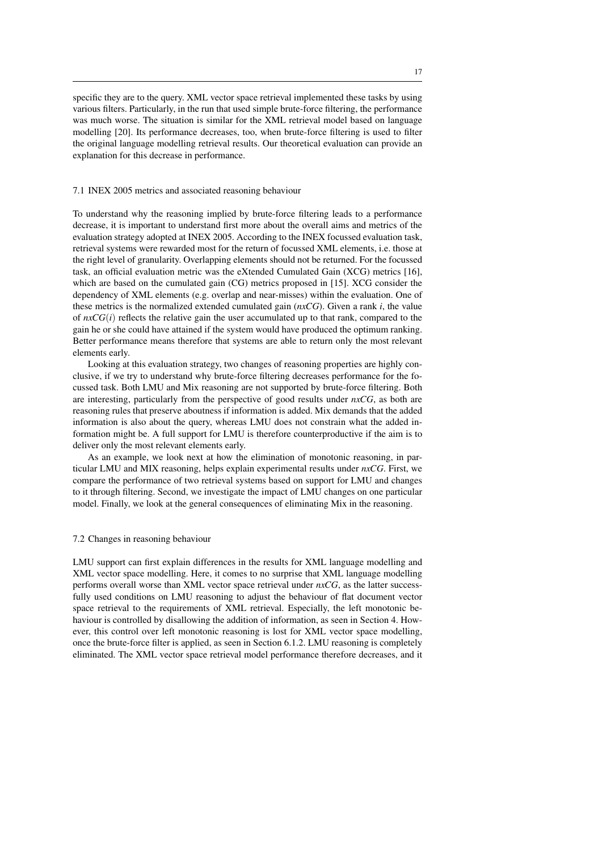specific they are to the query. XML vector space retrieval implemented these tasks by using various filters. Particularly, in the run that used simple brute-force filtering, the performance was much worse. The situation is similar for the XML retrieval model based on language modelling [20]. Its performance decreases, too, when brute-force filtering is used to filter the original language modelling retrieval results. Our theoretical evaluation can provide an explanation for this decrease in performance.

#### 7.1 INEX 2005 metrics and associated reasoning behaviour

To understand why the reasoning implied by brute-force filtering leads to a performance decrease, it is important to understand first more about the overall aims and metrics of the evaluation strategy adopted at INEX 2005. According to the INEX focussed evaluation task, retrieval systems were rewarded most for the return of focussed XML elements, i.e. those at the right level of granularity. Overlapping elements should not be returned. For the focussed task, an official evaluation metric was the eXtended Cumulated Gain (XCG) metrics [16], which are based on the cumulated gain (CG) metrics proposed in [15]. XCG consider the dependency of XML elements (e.g. overlap and near-misses) within the evaluation. One of these metrics is the normalized extended cumulated gain (*nxCG*). Given a rank *i*, the value of  $nxCG(i)$  reflects the relative gain the user accumulated up to that rank, compared to the gain he or she could have attained if the system would have produced the optimum ranking. Better performance means therefore that systems are able to return only the most relevant elements early.

Looking at this evaluation strategy, two changes of reasoning properties are highly conclusive, if we try to understand why brute-force filtering decreases performance for the focussed task. Both LMU and Mix reasoning are not supported by brute-force filtering. Both are interesting, particularly from the perspective of good results under *nxCG*, as both are reasoning rules that preserve aboutness if information is added. Mix demands that the added information is also about the query, whereas LMU does not constrain what the added information might be. A full support for LMU is therefore counterproductive if the aim is to deliver only the most relevant elements early.

As an example, we look next at how the elimination of monotonic reasoning, in particular LMU and MIX reasoning, helps explain experimental results under *nxCG*. First, we compare the performance of two retrieval systems based on support for LMU and changes to it through filtering. Second, we investigate the impact of LMU changes on one particular model. Finally, we look at the general consequences of eliminating Mix in the reasoning.

# 7.2 Changes in reasoning behaviour

LMU support can first explain differences in the results for XML language modelling and XML vector space modelling. Here, it comes to no surprise that XML language modelling performs overall worse than XML vector space retrieval under *nxCG*, as the latter successfully used conditions on LMU reasoning to adjust the behaviour of flat document vector space retrieval to the requirements of XML retrieval. Especially, the left monotonic behaviour is controlled by disallowing the addition of information, as seen in Section 4. However, this control over left monotonic reasoning is lost for XML vector space modelling, once the brute-force filter is applied, as seen in Section 6.1.2. LMU reasoning is completely eliminated. The XML vector space retrieval model performance therefore decreases, and it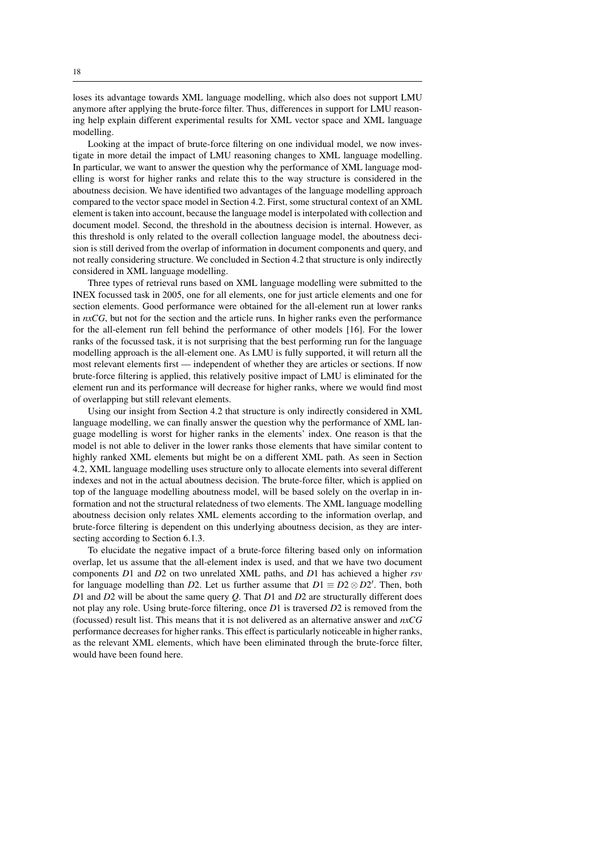loses its advantage towards XML language modelling, which also does not support LMU anymore after applying the brute-force filter. Thus, differences in support for LMU reasoning help explain different experimental results for XML vector space and XML language modelling.

Looking at the impact of brute-force filtering on one individual model, we now investigate in more detail the impact of LMU reasoning changes to XML language modelling. In particular, we want to answer the question why the performance of XML language modelling is worst for higher ranks and relate this to the way structure is considered in the aboutness decision. We have identified two advantages of the language modelling approach compared to the vector space model in Section 4.2. First, some structural context of an XML element is taken into account, because the language model is interpolated with collection and document model. Second, the threshold in the aboutness decision is internal. However, as this threshold is only related to the overall collection language model, the aboutness decision is still derived from the overlap of information in document components and query, and not really considering structure. We concluded in Section 4.2 that structure is only indirectly considered in XML language modelling.

Three types of retrieval runs based on XML language modelling were submitted to the INEX focussed task in 2005, one for all elements, one for just article elements and one for section elements. Good performance were obtained for the all-element run at lower ranks in *nxCG*, but not for the section and the article runs. In higher ranks even the performance for the all-element run fell behind the performance of other models [16]. For the lower ranks of the focussed task, it is not surprising that the best performing run for the language modelling approach is the all-element one. As LMU is fully supported, it will return all the most relevant elements first — independent of whether they are articles or sections. If now brute-force filtering is applied, this relatively positive impact of LMU is eliminated for the element run and its performance will decrease for higher ranks, where we would find most of overlapping but still relevant elements.

Using our insight from Section 4.2 that structure is only indirectly considered in XML language modelling, we can finally answer the question why the performance of XML language modelling is worst for higher ranks in the elements' index. One reason is that the model is not able to deliver in the lower ranks those elements that have similar content to highly ranked XML elements but might be on a different XML path. As seen in Section 4.2, XML language modelling uses structure only to allocate elements into several different indexes and not in the actual aboutness decision. The brute-force filter, which is applied on top of the language modelling aboutness model, will be based solely on the overlap in information and not the structural relatedness of two elements. The XML language modelling aboutness decision only relates XML elements according to the information overlap, and brute-force filtering is dependent on this underlying aboutness decision, as they are intersecting according to Section 6.1.3.

To elucidate the negative impact of a brute-force filtering based only on information overlap, let us assume that the all-element index is used, and that we have two document components *D*1 and *D*2 on two unrelated XML paths, and *D*1 has achieved a higher *rsv* for language modelling than *D*2. Let us further assume that  $D1 \equiv D2 \otimes D2'$ . Then, both *D*1 and *D*2 will be about the same query *Q*. That *D*1 and *D*2 are structurally different does not play any role. Using brute-force filtering, once *D*1 is traversed *D*2 is removed from the (focussed) result list. This means that it is not delivered as an alternative answer and *nxCG* performance decreases for higher ranks. This effect is particularly noticeable in higher ranks, as the relevant XML elements, which have been eliminated through the brute-force filter, would have been found here.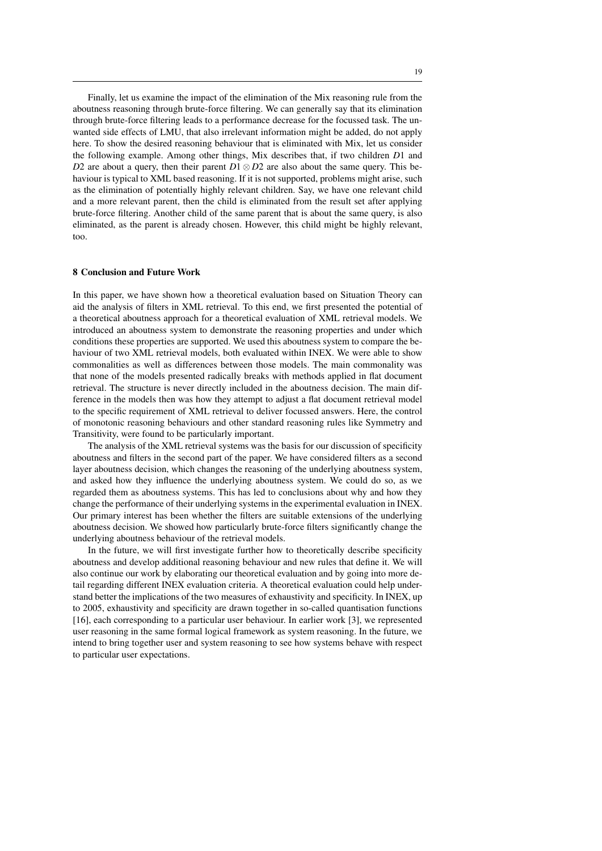Finally, let us examine the impact of the elimination of the Mix reasoning rule from the aboutness reasoning through brute-force filtering. We can generally say that its elimination through brute-force filtering leads to a performance decrease for the focussed task. The unwanted side effects of LMU, that also irrelevant information might be added, do not apply here. To show the desired reasoning behaviour that is eliminated with Mix, let us consider the following example. Among other things, Mix describes that, if two children *D*1 and *D*2 are about a query, then their parent *D*1  $\otimes$  *D*2 are also about the same query. This behaviour is typical to XML based reasoning. If it is not supported, problems might arise, such as the elimination of potentially highly relevant children. Say, we have one relevant child and a more relevant parent, then the child is eliminated from the result set after applying brute-force filtering. Another child of the same parent that is about the same query, is also eliminated, as the parent is already chosen. However, this child might be highly relevant, too.

### 8 Conclusion and Future Work

In this paper, we have shown how a theoretical evaluation based on Situation Theory can aid the analysis of filters in XML retrieval. To this end, we first presented the potential of a theoretical aboutness approach for a theoretical evaluation of XML retrieval models. We introduced an aboutness system to demonstrate the reasoning properties and under which conditions these properties are supported. We used this aboutness system to compare the behaviour of two XML retrieval models, both evaluated within INEX. We were able to show commonalities as well as differences between those models. The main commonality was that none of the models presented radically breaks with methods applied in flat document retrieval. The structure is never directly included in the aboutness decision. The main difference in the models then was how they attempt to adjust a flat document retrieval model to the specific requirement of XML retrieval to deliver focussed answers. Here, the control of monotonic reasoning behaviours and other standard reasoning rules like Symmetry and Transitivity, were found to be particularly important.

The analysis of the XML retrieval systems was the basis for our discussion of specificity aboutness and filters in the second part of the paper. We have considered filters as a second layer aboutness decision, which changes the reasoning of the underlying aboutness system, and asked how they influence the underlying aboutness system. We could do so, as we regarded them as aboutness systems. This has led to conclusions about why and how they change the performance of their underlying systems in the experimental evaluation in INEX. Our primary interest has been whether the filters are suitable extensions of the underlying aboutness decision. We showed how particularly brute-force filters significantly change the underlying aboutness behaviour of the retrieval models.

In the future, we will first investigate further how to theoretically describe specificity aboutness and develop additional reasoning behaviour and new rules that define it. We will also continue our work by elaborating our theoretical evaluation and by going into more detail regarding different INEX evaluation criteria. A theoretical evaluation could help understand better the implications of the two measures of exhaustivity and specificity. In INEX, up to 2005, exhaustivity and specificity are drawn together in so-called quantisation functions [16], each corresponding to a particular user behaviour. In earlier work [3], we represented user reasoning in the same formal logical framework as system reasoning. In the future, we intend to bring together user and system reasoning to see how systems behave with respect to particular user expectations.